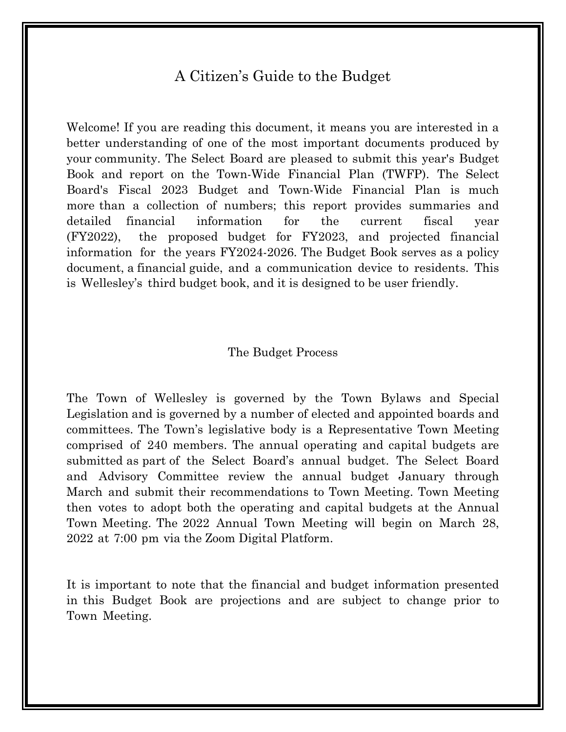#### A Citizen's Guide to the Budget

Welcome! If you are reading this document, it means you are interested in a better understanding of one of the most important documents produced by your community. The Select Board are pleased to submit this year's Budget Book and report on the Town-Wide Financial Plan (TWFP). The Select Board's Fiscal 2023 Budget and Town-Wide Financial Plan is much more than a collection of numbers; this report provides summaries and detailed financial information for the current fiscal year (FY2022), the proposed budget for FY2023, and projected financial information for the years FY2024-2026. The Budget Book serves as a policy document, a financial guide, and a communication device to residents. This is Wellesley's third budget book, and it is designed to be user friendly.

#### The Budget Process

The Town of Wellesley is governed by the Town Bylaws and Special Legislation and is governed by a number of elected and appointed boards and committees. The Town's legislative body is a Representative Town Meeting comprised of 240 members. The annual operating and capital budgets are submitted as part of the Select Board's annual budget. The Select Board and Advisory Committee review the annual budget January through March and submit their recommendations to Town Meeting. Town Meeting then votes to adopt both the operating and capital budgets at the Annual Town Meeting. The 2022 Annual Town Meeting will begin on March 28, 2022 at 7:00 pm via the Zoom Digital Platform.

It is important to note that the financial and budget information presented in this Budget Book are projections and are subject to change prior to Town Meeting.